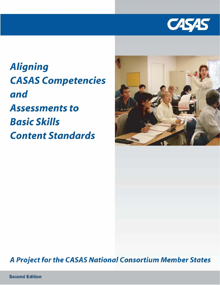

**Aligning CASAS Competencies** and **Assessments to Basic Skills Content Standards** 



# A Project for the CASAS National Consortium Member States

**Second Edition**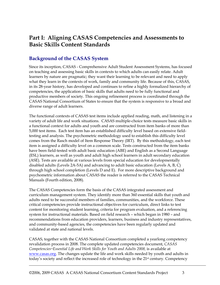# **Part I: Aligning CASAS Competencies and Assessments to Basic Skills Content Standards**

#### **Background of the CASAS System**

Since its inception, CASAS - Comprehensive Adult Student Assessment Systems, has focused on teaching and assessing basic skills in contexts to which adults can easily relate. Adult learners by nature are pragmatic; they want their learning to be relevant and need to apply what they learn in the contexts of work, family and community life. Because of this, CASAS, in its 28-year history, has developed and continues to refine a highly formalized hierarchy of competencies, the application of basic skills that adults need to be fully functional and productive members of society. This ongoing refinement process is coordinated through the CASAS National Consortium of States to ensure that the system is responsive to a broad and diverse range of adult learners.

The functional contexts of CASAS test items include applied reading, math, and listening in a variety of adult life and work situations. CASAS multiple-choice tests measure basic skills in a functional context for adults and youth and are constructed from item banks of more than 5,000 test items. Each test item has an established difficulty level based on extensive fieldtesting and analysis. The psychometric methodology used to establish this difficulty level comes from the Rasch model of Item Response Theory (IRT). By this methodology, each test item is assigned a difficulty level on a common scale. Tests constructed from the item banks have been field-tested with adult basic education (ABE) and English as a Second Language (ESL) learners, as well as youth and adult high school learners in adult secondary education (ASE). Tests are available at various levels from special education for developmentally disabled adults (Levels 2A-5A) and advancing to adult basic education (Levels A, B, C) through high school completion (Levels D and E). For more descriptive background and psychometric information about CASAS the reader is referred to the CASAS Technical Manuals (Fourth edition, 2008).

The CASAS Competencies form the basis of the CASAS integrated assessment and curriculum management system. They identify more than 360 essential skills that youth and adults need to be successful members of families, communities, and the workforce. These critical competencies provide instructional objectives for curriculum, direct links to test content for monitoring student learning, criteria for program evaluation, and a referencing system for instructional materials. Based on field research – which began in 1980 – and recommendations from education providers, learners, business and industry representatives, and community-based agencies, the competencies have been regularly updated and validated at state and national levels.

CASAS, together with the CASAS National Consortium completed a yearlong competency revalidation process in 2008. The complete updated competencies document, *CASAS Competencies ̶ Essential Life and Work Skills for Youth and Adults 2008,* is available at www.casas.org. The changes update the life and work skills needed by youth and adults in today's society and reflect the increased role of technology in the 21<sup>st</sup> century. Competency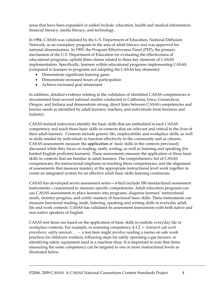areas that have been expanded or added include: education, health and medical information, financial literacy, media literacy, and technology.

In 1984, CASAS was validated by the U.S. Department of Education, National Diffusion Network, as an exemplary program in the area of adult literacy and was approved for national dissemination. In 1993, the Program Effectiveness Panel (PEP), the primary mechanism of the U.S. Department of Education for evaluating the effectiveness of educational programs, upheld three claims related to three key elements of CASAS implementation. Specifically, learners within educational programs implementing CASAS (compared to learners in programs not adopting the CASAS key elements):

- Demonstrate significant learning gains
- Demonstrate increased hours of participation
- Achieve increased goal attainment

In addition, detailed evidence relating to the validation of identified CASAS competencies is documented from several national studies conducted in California, Iowa, Connecticut, Oregon, and Indiana and demonstrate strong, direct links between CASAS competencies and learner needs as identified by adult learners, teachers, and individuals from business and industry.

CASAS-trained instructors identify the basic skills that are embedded in each CASAS competency and teach those basic skills in contexts that are relevant and critical to the lives of their adult learners. Contexts include generic life, employability and workplace skills, as well as skills needed by individuals to function effectively in the community and as citizens. CASAS assessments measure the *application* of basic skills in the contexts previously discussed while they focus on reading, math, writing, as well as listening and speaking (for limited English proficient learners). These assessments measure the application of those basic skills in contexts that are familiar to adult learners. The comprehensive list of CASAS competencies, the instructional emphasis on teaching these competencies, and the alignment of assessments that measure mastery at the appropriate instructional level work together to create an integrated system for an effective adult basic skills learning continuum.

CASAS has developed seven assessment series—which include 180 standardized assessment instruments—customized to measure specific competencies. Adult education programs can use CASAS assessments to place learners into programs, diagnose learners' instructional needs, monitor progress, and certify mastery of functional basic skills. These instruments can measure functional reading, math, listening, speaking and writing skills in everyday adult life and work contexts. CASAS has validated its assessment instruments with both native and non-native speakers of English.

CASAS test items are based on the application of basic skills in realistic everyday life or workplace contexts. For example, in assessing competency 4.3.2 — *Interpret safe work procedures, safety manuals… —* a test item might involve reading a memo on safe work practices for childcare workers, following steps for safely operating a gas furnace, or identifying safety equipment used in a machine shop. It is important to note that items measuring the same competency can be targeted to one or more instructional levels as illustrated below.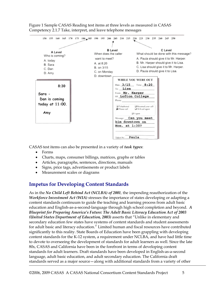

Figure 1 Sample CASAS Reading test items at three levels as measured in CASAS Competency 2.1.7 Take, interpret, and leave telephone messages

CASAS test items can also be presented in a variety of *task types*:

- Forms
- Charts, maps, consumer billings, matrices, graphs or tables
- Articles, paragraphs, sentences, directions, manuals
- Signs, price tags, advertisements or product labels
- Measurement scales or diagrams

## **Impetus for Developing Content Standards**

As in the *No Child Left Behind Act (NCLBA) of 2001,* the impending reauthorization of the *Workforce Investment Act (WIA)* stresses the importance of states developing or adapting a content standards continuum to guide the teaching and learning process from adult basic education and English-as-a-second-language through high school completion and beyond. *A Blueprint for Preparing America's Future: The Adult Basic Literacy Education Act of 2003 (United States Department of Education, 2003)* asserts that "Unlike in elementary and secondary education few states have systems of content standards and student assessments for adult basic and literacy education." Limited human and fiscal resources have contributed significantly to this reality. State Boards of Education have been grappling with developing content standards for the K-12 system, a requirement under NCLBA, and have had little time to devote to overseeing the development of standards for adult learners as well. Since the late 80s, CASAS and California have been in the forefront in terms of developing content standards for adult learners. Draft standards have been developed in English-as-a-second language, adult basic education, and adult secondary education. The California draft standards served as a major source—along with additional standards from a variety of other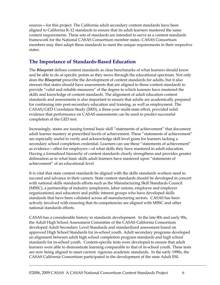sources—for this project. The California adult secondary content standards have been aligned to California K-12 standards to ensure that its adult learners mastered the same content requirements. These sets of standards are intended to serve as a content standards framework for the National CASAS Consortium member states. CASAS Consortium members may then adapt these standards to meet the unique requirements in their respective states.

#### **The Importance of Standards-Based Education**

The *Blueprint* defines content standards as clear benchmarks of what learners should know and be able to do at specific points as they move through the educational spectrum. Not only does the *Blueprint* prescribe the development of content standards for adults, but it also stresses that states should have assessments that are aligned to those content standards to provide "valid and reliable measures" of the degree to which learners have mastered the skills and knowledge of content standards. The alignment of adult education content standards and assessments is also important to ensure that adults are academically prepared for continuing into post-secondary education and training, as well as employment. The CASAS/GED Correlation Study (2003), a three-year multi-state effort, provided solid evidence that performance on CASAS assessments can be used to predict successful completion of the GED test.

Increasingly, states are issuing formal basic skill "statements of achievement" that document adult learner mastery at prescribed levels of achievement. These "statements of achievement" are especially useful to verify and acknowledge skill level gains for learners lacking a secondary school completion credential. Learners can use these "statements of achievement" as evidence—often for employers—of what skills they have mastered in adult education. Having a formalized hierarchy of content standards clearly strengthens and provides greater delineation as to what basic skills adult learners have mastered upon "statements of achievement" of an educational level.

It is vital that state content standards be aligned with the skills standards workers need to succeed and advance in their careers. State content standards should be developed in concert with national skills standards efforts such as the Manufacturing Skill Standards Council (MSSC), a partnership of industry (employers, labor unions, employee and employer organizations) and educators and public interest groups who have developed skills standards that have been validated across all manufacturing sectors. CASAS has been actively involved with ensuring that its competencies are aligned with MSSC and other national standards efforts.

CASAS has a considerable history in standards development. In the late 80s and early 90s, the Adult High School Assessment Committee of the CASAS California Consortium developed Adult Secondary Level Standards and standardized assessment based on approved High School Standards for in-school youth. Adult secondary programs developed an alignment between adult high school completion program standards and high school standards for in-school youth. Content-specific tests were developed to ensure that adult learners were able to demonstrate learning comparable to that of in-school youth. These tests are now being aligned to meet current rigorous academic standards. In the early 1990s, the CASAS California Consortium participated in the development of the state Adult ESL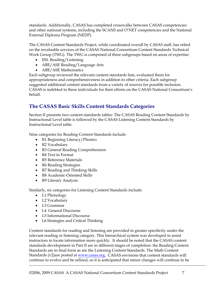standards. Additionally, CASAS has completed crosswalks between CASAS competencies and other national systems, including the SCANS and O'NET competencies and the National External Diploma Program (NEDP).

The CASAS Content Standards Project, while coordinated overall by CASAS staff, has relied on the invaluable services of the CASAS National Consortium Content Standards Technical Work Group (TWG). The TWG is comprised of three subgroups based on areas of expertise:

- ESL Reading/Listening
- ABE/ASE Reading/Language Arts
- ABE/ASE Mathematics

Each subgroup reviewed the relevant content standards lists, evaluated them for appropriateness and comprehensiveness in addition to other criteria. Each subgroup suggested additional content standards from a variety of sources for possible inclusion. CASAS is indebted to these individuals for their efforts on the CASAS National Consortium's behalf.

# **The CASAS Basic Skills Content Standards Categories**

Section II presents two content standards tables: The CASAS Reading Content Standards by Instructional Level table is followed by the CASAS Listening Content Standards by Instructional Level table.

Nine categories for Reading Content Standards include:

- R1 Beginning Literacy/Phonics
- R2 Vocabulary
- R3 General Reading Comprehension
- R4 Text in Format
- R5 Reference Materials
- R6 Reading Strategies
- R7 Reading and Thinking Skills
- R8 Academic-Oriented Skills
- R9 Literary Analysis

Similarly, six categories for Listening Content Standards include:

- L1 Phonology
- L2 Vocabulary
- L3 Grammar
- L4 General Discourse
- L5 Informational Discourse
- L6 Strategies and Critical Thinking

Content standards for reading and listening are provided in greater specificity under the relevant reading or listening category. This hierarchical system was developed to assist instructors to locate information more quickly. It should be noted that the CASAS content standards development in Part II are in different stages of completion: the Reading Content Standards are in final form as are the Listening Content Standards. The Math Content Standards (v2)are posted at www.casas.org. CASAS envisions that content standards will continue to evolve and be refined, so it is anticipated that minor changes will continue to be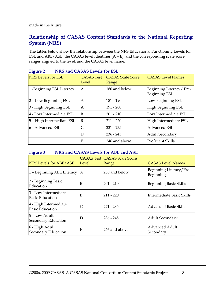made in the future.

#### **Relationship of CASAS Content Standards to the National Reporting System (NRS)**

The tables below show the relationship between the NRS Educational Functioning Levels for ESL and ABE/ASE, the CASAS level identifier (A – E), and the corresponding scale score ranges aligned to the level, and the CASAS level name.

| o-                        |                            |                                   |                                          |
|---------------------------|----------------------------|-----------------------------------|------------------------------------------|
| <b>NRS</b> Levels for ESL | <b>CASAS Test</b><br>Level | <b>CASAS Scale Score</b><br>Range | <b>CASAS Level Names</b>                 |
| 1 -Beginning ESL Literacy | Α                          | 180 and below                     | Beginning Literacy/Pre-<br>Beginning ESL |
| 2 - Low Beginning ESL     | A                          | 181 - 190                         | Low Beginning ESL                        |
| 3 - High Beginning ESL    | A                          | $191 - 200$                       | High Beginning ESL                       |
| 4 - Low Intermediate ESL  | B                          | $201 - 210$                       | Low Intermediate ESL                     |
| 5 - High Intermediate ESL | B                          | $211 - 220$                       | High Intermediate ESL                    |
| 6 - Advanced ESL          | C                          | $221 - 235$                       | Advanced ESL                             |
|                           | D                          | $236 - 245$                       | <b>Adult Secondary</b>                   |
|                           | E                          | 246 and above                     | Proficient Skills                        |

#### **Figure 2 NRS and CASAS Levels for ESL**

#### **Figure 3 NRS and CASAS Levels for ABE and ASE**

| NRS Levels for ABE/ASE                          | Level | <b>CASAS Test CASAS Scale Score</b><br>Range | <b>CASAS Level Names</b>             |
|-------------------------------------------------|-------|----------------------------------------------|--------------------------------------|
| 1 - Beginning ABE Literacy A                    |       | 200 and below                                | Beginning Literacy/Pre-<br>Beginning |
| 2 - Beginning Basic<br>Education                | B     | $201 - 210$                                  | Beginning Basic Skills               |
| 3 - Low Intermediate<br><b>Basic Education</b>  | B     | $211 - 220$                                  | Intermediate Basic Skills            |
| 4 - High Intermediate<br><b>Basic Education</b> |       | $221 - 235$                                  | Advanced Basic Skills                |
| 5 - Low Adult<br>Secondary Education            | D     | $236 - 245$                                  | <b>Adult Secondary</b>               |
| 6 - High Adult<br>Secondary Education           | Ε     | 246 and above                                | <b>Advanced Adult</b><br>Secondary   |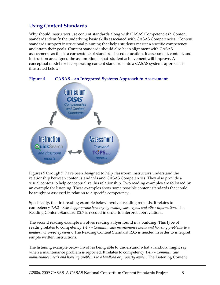### **Using Content Standards**

Why should instructors use content standards along with CASAS Competencies? Content standards identify the underlying basic skills associated with CASAS Competencies. Content standards support instructional planning that helps students master a specific competency and attain their goals. Content standards should also be in alignment with CASAS assessments as this is a cornerstone of standards based education. If assessment, content, and instruction are aligned the assumption is that student achievement will improve. A conceptual model for incorporating content standards into a CASAS systems approach is illustrated below:



#### **Figure 4 CASAS – an Integrated Systems Approach to Assessment**

Figures 5 through 7 have been designed to help classroom instructors understand the relationship between content standards and CASAS Competencies. They also provide a visual context to help conceptualize this relationship. Two reading examples are followed by an example for listening. These examples show some possible content standards that could be taught or assessed in relation to a specific competency.

Specifically, the first reading example below involves reading rent ads. It relates to competency *1.4.2 - Select appropriate housing by reading ads, signs, and other information.* The Reading Content Standard R2.7 is needed in order to interpret abbreviations.

The second reading example involves reading a flyer found in a building. This type of reading relates to competency *1.4.7 - Communicate maintenance needs and housing problems to a landlord or property owner.* The Reading Content Standard R3.5 is needed in order to interpret simple written instructions.

The listening example below involves being able to understand what a landlord might say when a maintenance problem is reported. It relates to competency *1.4.7 - Communicate maintenance needs and housing problems to a landlord or property owner.* The Listening Content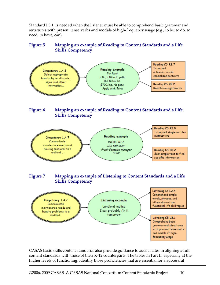Standard L3.1 is needed when the listener must be able to comprehend basic grammar and structures with present tense verbs and modals of high-frequency usage (e.g., to be, to do, to need, to have, can).

#### **Figure 5 Mapping an example of Reading to Content Standards and a Life Skills Competency**



CASAS basic skills content standards also provide guidance to assist states in aligning adult content standards with those of their K-12 counterparts. The tables in Part II, especially at the higher levels of functioning, identify those proficiencies that are essential for a successful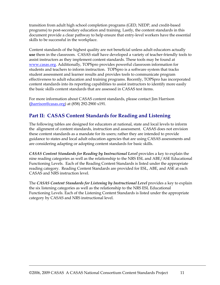transition from adult high school completion programs (GED, NEDP, and credit-based programs) to post-secondary education and training. Lastly, the content standards in this document provide a clear pathway to help ensure that entry-level workers have the essential skills to be successful in the workplace.

Content standards of the highest quality are not beneficial unless adult educators actually **use** them in the classroom. CASAS staff have developed a variety of teacher-friendly tools to assist instructors as they implement content standards. These tools may be found at www.casas.org. Additionally, TOPSpro provides powerful classroom information for students and teachers to inform instruction. TOPSpro is a software system that tracks student assessment and learner results and provides tools to communicate program effectiveness to adult education and training programs. Recently, TOPSpro has incorporated content standards into its reporting capabilities to assist instructors to identify more easily the basic skills content standards that are assessed in CASAS test items.

For more information about CASAS content standards, please contact Jim Harrison (jharrison@casas.org) at (858) 292-2900 x191.

### **Part II: CASAS Content Standards for Reading and Listening**

The following tables are designed for educators at national, state and local levels to inform the alignment of content standards, instruction and assessment. CASAS does not envision these content standards as a mandate for its users; rather they are intended to provide guidance to states and local adult education agencies that are using CASAS assessments and are considering adapting or adopting content standards for basic skills.

*CASAS Content Standards for Reading by Instructional Level provides a key to explain the* nine reading categories as well as the relationship to the NRS ESL and ABE/ASE Educational Functioning Levels. Each of the Reading Content Standards is listed under the appropriate reading category. Reading Content Standards are provided for ESL, ABE, and ASE at each CASAS and NRS instruction level.

The *CASAS Content Standards for Listening by Instructional Level* provides a key to explain the six listening categories as well as the relationship to the NRS ESL Educational Functioning Levels. Each of the Listening Content Standards is listed under the appropriate category by CASAS and NRS instructional level.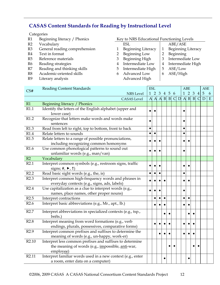#### **CASAS Content Standards for Reading by Instructional Level**

#### **Categories**

- 
- R2 Vocabulary ESL ABE/ASE
- R3 General reading comprehension 1 Beginning Literacy | 1 Beginning Literacy
- R4 Text in format 2 Beginning Low 2 Beginning Low 2 Beginning
- R5 Reference materials 3 Beginning High 3 Intermediate Low
- R6 Reading strategies 4 Intermediate Low | 4 Intermediate High
- R7 Reading and thinking skills  $\begin{array}{ccc} 5 \quad \text{Intermediate High} \quad | \quad 5 \quad \text{ASE/Low} \end{array}$
- R8 Academic-oriented skills 6 Advanced Low 6 ASE/High
- R9 Literary analysis Advanced High

#### R1 Beginning literacy / Phonics Key to NRS Educational Functioning Levels

- 
- -
	-
- 
- 
- 
- 

| CS#               | <b>Reading Content Standards</b>                                                                                                           |              | <b>ESL</b>     |           |                |                 |              |   |              | <b>ABE</b>     |                |                | <b>ASE</b> |   |
|-------------------|--------------------------------------------------------------------------------------------------------------------------------------------|--------------|----------------|-----------|----------------|-----------------|--------------|---|--------------|----------------|----------------|----------------|------------|---|
|                   | <b>NRS</b> Level                                                                                                                           | $\mathbf{1}$ | $\overline{2}$ | 3         | $\overline{4}$ | $5\overline{5}$ | 6            |   | $\mathbf{1}$ | $\overline{2}$ | $\overline{3}$ | $\overline{4}$ | 5          | 6 |
|                   | <b>CASAS</b> Level                                                                                                                         | $\mathbf{A}$ |                | A A       | $\mathbf{B}$   | $\vert B \vert$ | $\mathsf{C}$ | D |              | $A \, B \, B$  |                | $\mathcal{C}$  | D          | E |
| R1                | Beginning literacy / Phonics                                                                                                               |              |                |           |                |                 |              |   |              |                |                |                |            |   |
| R1.1              | Identify the letters of the English alphabet (upper and<br>lower case)                                                                     |              |                |           |                |                 |              |   |              |                |                |                |            |   |
| R1.2              | Recognize that letters make words and words make<br>sentences                                                                              | $\bullet$    |                |           |                |                 |              |   |              |                |                |                |            |   |
| R1.3              | Read from left to right, top to bottom, front to back                                                                                      | $\bullet$    |                |           |                |                 |              |   | $\bullet$    |                |                |                |            |   |
| R1.4              | Relate letters to sounds                                                                                                                   | $\bullet$    | $\bullet$      |           |                |                 |              |   | $\bullet$    |                |                |                |            |   |
| R1.5              | Relate letters to a range of possible pronunciations,<br>including recognizing common homonyms                                             |              |                | $\bullet$ |                |                 |              |   |              |                |                |                |            |   |
| R1.6              | Use common phonological patterns to sound out<br>unfamiliar words (e.g., man/van)                                                          |              |                |           |                |                 |              |   |              |                |                |                |            |   |
| R2                | Vocabulary                                                                                                                                 |              |                |           |                |                 |              |   |              |                |                |                |            |   |
| R2.1              | Interpret common symbols (e.g., restroom signs, traffic<br>signs; #, $\blacktriangleright$ , 1)                                            | $\bullet$    |                | $\bullet$ |                |                 |              |   |              |                |                |                |            |   |
| R2.2              | Read basic sight words (e.g., the, is)                                                                                                     | $\bullet$    | $\bullet$      | $\bullet$ |                |                 |              |   | $\bullet$    |                |                |                |            |   |
| R2.3              | Interpret common high-frequency words and phrases in<br>everyday contexts (e.g., signs, ads, labels)                                       |              |                |           |                |                 |              |   |              |                |                |                |            |   |
| R2.4              | Use capitalization as a clue to interpret words (e.g.,<br>names, place names, other proper nouns)                                          | $\bullet$    |                | $\bullet$ |                |                 |              |   | $\bullet$    |                |                |                |            |   |
| R2.5              | Interpret contractions                                                                                                                     |              |                |           |                |                 |              |   | $\bullet$    |                |                |                |            |   |
| R2.6              | Interpret basic abbreviations (e.g., Mr., apt., lb.)                                                                                       |              |                |           |                |                 |              |   |              |                |                |                |            |   |
| R2.7              | Interpret abbreviations in specialized contexts (e.g., tsp.,<br>bnfts.)                                                                    |              |                |           |                |                 |              |   |              |                |                |                |            |   |
| R2.8              | Interpret meaning from word formations (e.g., verb<br>endings, plurals, possessives, comparative forms)                                    |              |                |           |                |                 |              |   |              |                |                |                |            |   |
| R2.9              | Interpret common prefixes and suffixes to determine the<br>meaning of words (e.g., un-happy, work-er)                                      |              |                |           |                |                 |              |   |              |                |                |                |            |   |
| R <sub>2.10</sub> | Interpret less common prefixes and suffixes to determine<br>the meaning of words (e.g., <i>impossible</i> , <i>anti-war</i> ,<br>employee) |              |                |           |                |                 |              |   |              |                |                |                |            |   |
| R <sub>2.11</sub> | Interpret familiar words used in a new context (e.g., enter<br>a room, enter data on a computer)                                           |              |                |           |                |                 |              |   |              |                |                |                |            |   |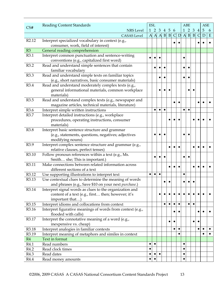|                   | <b>Reading Content Standards</b>                           | <b>ESL</b><br>$1\quad2\quad3$ |           |           |                       |           |              |   | <b>ABE</b>   |                 |                 | <b>ASE</b>     |                |           |
|-------------------|------------------------------------------------------------|-------------------------------|-----------|-----------|-----------------------|-----------|--------------|---|--------------|-----------------|-----------------|----------------|----------------|-----------|
| CS#               | <b>NRS</b> Level                                           |                               |           |           | 4 5                   |           | 6            |   |              | $1\quad2$       | $\mathfrak{B}$  | $\overline{4}$ | $\overline{5}$ | 6         |
|                   | <b>CASAS</b> Level                                         |                               |           |           | $A \wedge A \wedge B$ |           | $\mathsf{C}$ | D | $\mathbf{A}$ | $\vert B \vert$ | $\vert B \vert$ | $\mathsf{C}$   | $\mathbf D$    | E         |
| R <sub>2.12</sub> | Interpret specialized vocabulary in context (e.g.,         |                               |           |           |                       |           |              |   |              |                 |                 |                |                |           |
|                   | consumer, work, field of interest)                         |                               |           |           |                       |           |              |   |              |                 |                 |                |                |           |
| R3                | General reading comprehension                              |                               |           |           |                       |           |              |   |              |                 |                 |                |                |           |
| R3.1              | Interpret common punctuation and sentence-writing          |                               |           |           |                       |           |              |   |              |                 |                 |                |                |           |
|                   | conventions (e.g., capitalized first word)                 |                               |           |           |                       |           |              |   |              |                 |                 |                |                |           |
| R3.2              | Read and understand simple sentences that contain          |                               |           |           |                       |           |              |   |              |                 |                 |                |                |           |
|                   | familiar vocabulary                                        |                               |           |           |                       |           |              |   |              |                 |                 |                |                |           |
| R3.3              | Read and understand simple texts on familiar topics        |                               |           |           |                       |           |              |   |              |                 |                 |                |                |           |
|                   | (e.g., short narratives, basic consumer materials)         |                               |           |           |                       |           |              |   |              |                 |                 |                |                |           |
| R3.4              | Read and understand moderately complex texts (e.g.,        |                               |           |           |                       |           |              |   |              |                 |                 |                |                |           |
|                   | general informational materials, common workplace          |                               |           |           |                       |           |              |   |              |                 |                 |                |                |           |
|                   | materials)                                                 |                               |           |           |                       |           |              |   |              |                 |                 |                |                |           |
| R3.5              | Read and understand complex texts (e.g., newspaper and     |                               |           |           |                       |           |              |   |              |                 |                 |                |                |           |
|                   | magazine articles, technical materials, literature)        |                               |           |           |                       |           |              |   |              |                 |                 |                |                |           |
| R3.6              | Interpret simple written instructions                      |                               |           | $\bullet$ | $\bullet$             |           |              |   |              |                 |                 |                |                |           |
| R3.7              | Interpret detailed instructions (e.g., workplace           |                               |           |           |                       |           |              |   |              |                 |                 |                |                |           |
|                   | procedures, operating instructions, consumer               |                               |           |           |                       |           |              |   |              |                 |                 |                |                |           |
|                   | materials)                                                 |                               |           |           |                       |           |              |   |              |                 |                 |                |                |           |
| R3.8              | Interpret basic sentence structure and grammar             |                               |           |           |                       |           |              |   |              |                 |                 |                |                |           |
|                   | (e.g., statements, questions, negatives; adjectives        |                               |           |           |                       |           |              |   |              |                 |                 |                |                |           |
|                   | modifying nouns)                                           |                               |           |           |                       |           |              |   |              |                 |                 |                |                |           |
| R3.9              | Interpret complex sentence structure and grammar (e.g.,    |                               |           |           |                       |           |              |   |              |                 |                 |                |                |           |
|                   | relative clauses, perfect tenses)                          |                               |           |           |                       |           |              |   |              |                 |                 |                |                |           |
| R3.10             | Follow pronoun references within a text (e.g., Ms.         |                               |           |           |                       |           |              |   |              |                 |                 |                |                |           |
|                   | Smith she; This is important.)                             |                               |           |           |                       |           |              |   |              |                 |                 |                |                |           |
| R3.11             | Make connections between related information across        |                               |           |           |                       |           |              |   |              |                 |                 |                |                |           |
|                   | different sections of a text                               |                               |           | $\bullet$ |                       |           |              |   |              |                 |                 |                |                |           |
| R3.12             | Use supporting illustrations to interpret text             |                               |           |           |                       |           |              |   |              |                 |                 |                |                |           |
| R3.13             | Use contextual clues to determine the meaning of words     |                               |           |           |                       |           |              |   |              |                 |                 |                |                |           |
|                   | and phrases (e.g., Save \$10 on your next purchase.)       |                               |           |           |                       |           |              |   |              |                 |                 |                |                |           |
| R3.14             | Interpret signal words as clues to the organization and    |                               |           |           |                       |           |              |   |              |                 |                 |                |                |           |
|                   | content of a text (e.g., first then; however; it's         |                               |           |           |                       |           |              |   |              |                 |                 |                |                |           |
|                   | important that)                                            |                               |           |           |                       |           |              |   |              |                 |                 |                |                |           |
| R3.15             | Interpret idioms and collocations from context             |                               |           |           | $\bullet$             |           |              |   |              | $\bullet$       | $\bullet$       |                |                |           |
| R3.16             | Interpret figurative meanings of words from context (e.g., |                               |           |           |                       |           |              |   |              |                 |                 |                |                |           |
|                   | flooded with calls)                                        |                               |           |           |                       |           |              |   |              |                 |                 |                |                |           |
| R3.17             | Interpret the connotative meaning of a word (e.g.,         |                               |           |           |                       | $\bullet$ |              |   |              |                 | $\bullet$       |                |                |           |
|                   | inexpensive vs. cheap)                                     |                               |           |           |                       |           |              |   |              |                 |                 |                |                |           |
| R3.18             | Interpret analogies in familiar contexts                   |                               |           |           |                       |           | $\bullet$    |   |              |                 |                 | $\bullet$      |                | $\bullet$ |
| R3.19             | Interpret meaning of metaphors and similes in context      |                               |           |           |                       |           |              |   |              |                 |                 |                |                |           |
| R4                | Text in format                                             |                               |           |           |                       |           |              |   |              |                 |                 |                |                |           |
| R4.1              | Read numbers                                               |                               | $\bullet$ |           |                       |           |              |   |              |                 |                 |                |                |           |
| R4.2              | Read clock times                                           | $\bullet$                     |           |           |                       |           |              |   |              |                 |                 |                |                |           |
| R4.3              | Read dates                                                 |                               |           | $\bullet$ |                       |           |              |   |              |                 |                 |                |                |           |
| R4.4              | Read money amounts                                         |                               |           |           |                       |           |              |   |              |                 |                 |                |                |           |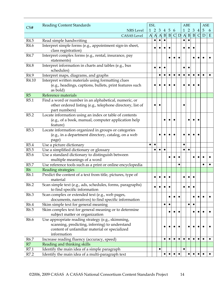|                        | <b>Reading Content Standards</b>                                        |              | <b>ESL</b>   |              |                 |                 |              |   |              | <b>ABE</b>      |           |                | <b>ASE</b>      |   |
|------------------------|-------------------------------------------------------------------------|--------------|--------------|--------------|-----------------|-----------------|--------------|---|--------------|-----------------|-----------|----------------|-----------------|---|
| CS#                    | <b>NRS</b> Level                                                        | $\mathbf{1}$ | 2            | 3            | 4               | $5\phantom{.0}$ | 6            |   | $\mathbf{1}$ | $\overline{2}$  | 3         | $\overline{4}$ | $5\phantom{.0}$ | 6 |
|                        | <b>CASAS</b> Level                                                      | $\mathbf{A}$ | $\mathbf{A}$ | $\mathbf{A}$ | $\vert B \vert$ | $\, {\bf B}$    | $\mathsf{C}$ | D | $\mathbf{A}$ | $\vert B \vert$ | B         | C              | D               | E |
| R4.5                   | Read simple handwriting                                                 |              |              |              |                 |                 |              |   |              |                 |           |                |                 |   |
| R4.6                   | Interpret simple forms (e.g., appointment sign-in sheet,                |              |              |              |                 |                 |              |   |              |                 |           |                |                 |   |
|                        | class registration)                                                     |              |              |              |                 |                 |              |   |              |                 |           |                |                 |   |
| R4.7                   | Interpret complex forms (e.g., rental, insurance, pay                   |              |              |              |                 |                 |              |   |              |                 |           |                |                 |   |
|                        | statements)                                                             |              |              |              |                 |                 |              |   |              |                 |           |                |                 |   |
| R4.8                   | Interpret information in charts and tables (e.g., bus                   |              |              |              |                 |                 |              |   |              |                 |           |                |                 |   |
|                        | schedules)                                                              |              |              |              |                 |                 |              |   |              |                 |           |                |                 |   |
| R4.9                   | Interpret maps, diagrams, and graphs                                    |              |              |              |                 |                 |              |   |              |                 |           |                |                 |   |
| R4.10                  | Interpret written materials using formatting clues                      |              |              |              |                 |                 |              |   |              |                 |           |                |                 |   |
|                        | (e.g., headings, captions, bullets, print features such                 |              |              |              |                 |                 |              |   |              |                 |           |                |                 |   |
|                        | as bold)                                                                |              |              |              |                 |                 |              |   |              |                 |           |                |                 |   |
| R5                     | Reference materials                                                     |              |              |              |                 |                 |              |   |              |                 |           |                |                 |   |
| R5.1                   | Find a word or number in an alphabetical, numeric, or                   |              |              |              |                 |                 |              |   |              |                 |           |                |                 |   |
|                        | other ordered listing (e.g., telephone directory, list of               |              |              |              |                 |                 |              |   |              |                 |           |                |                 |   |
|                        | part numbers)                                                           |              |              |              |                 |                 |              |   |              |                 |           |                |                 |   |
| R5.2                   | Locate information using an index or table of contents                  |              |              |              |                 |                 |              |   |              |                 |           |                |                 |   |
|                        | (e.g., of a book, manual, computer application help                     |              |              |              |                 |                 |              |   |              |                 |           |                |                 |   |
|                        | feature)                                                                |              |              |              |                 |                 |              |   |              |                 |           |                |                 |   |
| R <sub>5.3</sub>       | Locate information organized in groups or categories                    |              |              |              |                 |                 |              |   |              |                 |           |                |                 |   |
|                        | (e.g., in a department directory, catalog, on a web                     |              |              |              |                 |                 |              |   |              |                 |           |                |                 |   |
|                        | page)                                                                   |              |              |              |                 |                 |              |   |              |                 |           |                |                 |   |
| R <sub>5.4</sub>       | Use a picture dictionary                                                |              | $\bullet$    |              |                 |                 |              |   |              |                 |           |                |                 |   |
| R <sub>5.5</sub>       | Use a simplified dictionary or glossary                                 |              |              |              | $\bullet$       |                 |              |   |              |                 |           |                |                 |   |
| R <sub>5.6</sub>       | Use a standard dictionary to distinguish between                        |              |              |              |                 |                 |              |   |              |                 |           |                |                 |   |
|                        | multiple meanings of a word                                             |              |              |              |                 |                 |              |   |              |                 |           |                |                 |   |
| R5.7                   | Use reference tools such as a print or online encyclopedia              |              |              |              |                 |                 |              |   |              |                 |           |                |                 |   |
| R <sub>6</sub><br>R6.1 | Reading strategies                                                      |              |              |              |                 |                 |              |   |              |                 |           |                |                 |   |
|                        | Predict the content of a text from title, pictures, type of<br>material |              |              |              |                 |                 |              |   |              |                 |           |                |                 |   |
| R6.2                   | Scan simple text (e.g., ads, schedules, forms, paragraphs)              |              |              |              |                 |                 |              |   |              |                 |           |                |                 |   |
|                        | to find specific information                                            |              |              |              |                 |                 |              |   |              |                 |           |                |                 |   |
| R6.3                   | Scan complex or extended text (e.g., web pages,                         |              |              |              |                 |                 |              |   |              |                 |           |                |                 |   |
|                        | documents, narratives) to find specific information                     |              |              |              |                 |                 |              |   |              |                 |           |                |                 |   |
| R6.4                   | Skim simple text for general meaning                                    |              |              |              | $\bullet$       | $\bullet$       |              |   |              | $\bullet$       | $\bullet$ |                |                 |   |
| R6.5                   | Skim complex text for general meaning or to determine                   |              |              |              |                 |                 |              |   |              |                 |           |                |                 |   |
|                        | subject matter or organization                                          |              |              |              |                 |                 |              |   |              |                 |           |                |                 |   |
| R6.6                   | Use appropriate reading strategy (e.g., skimming,                       |              |              |              |                 |                 |              |   |              |                 |           |                |                 |   |
|                        | scanning, predicting, inferring) to understand                          |              |              |              |                 |                 |              |   |              |                 |           |                |                 |   |
|                        | content of unfamiliar material or specialized                           |              |              |              |                 |                 |              |   |              |                 |           |                |                 |   |
|                        | information                                                             |              |              |              |                 |                 |              |   |              |                 |           |                |                 |   |
| R6.7                   | Increase reading fluency (accuracy, speed)                              |              |              |              | $\bullet$       |                 |              |   |              |                 | $\bullet$ |                |                 |   |
| R7                     | Reading and thinking skills                                             |              |              |              |                 |                 |              |   |              |                 |           |                |                 |   |
| R7.1                   | Identify the main idea of a simple paragraph                            |              |              | $\bullet$    |                 |                 |              |   |              |                 |           |                |                 |   |
| R7.2                   | Identify the main idea of a multi-paragraph text                        |              |              |              |                 |                 |              |   |              |                 |           |                |                 |   |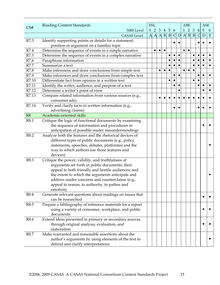|       | <b>Reading Content Standards</b>                                                                  |                | <b>ESL</b> |           |                |                |              |   |              | <b>ABE</b>      |                 |                | <b>ASE</b> |             |
|-------|---------------------------------------------------------------------------------------------------|----------------|------------|-----------|----------------|----------------|--------------|---|--------------|-----------------|-----------------|----------------|------------|-------------|
| CS#   | <b>NRS</b> Level                                                                                  |                | $1\quad2$  | 3         | $\overline{4}$ | $\overline{5}$ | 6            |   |              | $1\quad2$       | 3               | $\overline{4}$ | 5          | 6           |
|       | <b>CASAS</b> Level                                                                                | $\overline{A}$ |            |           | $A \cap B$     | B              | $\mathsf{C}$ | D | $\mathbf{A}$ | $\vert B \vert$ | $\vert B \vert$ | $\mathsf{C}$   | D          | $\mathbf E$ |
| R7.3  | Identify supporting points or details for a statement,                                            |                |            |           |                |                |              |   |              |                 |                 |                |            |             |
|       | position or argument on a familiar topic                                                          |                |            |           |                |                |              |   |              |                 |                 |                |            |             |
| R7.4  | Determine the sequence of events in a simple narrative                                            |                | $\bullet$  | $\bullet$ | $\bullet$      |                |              |   | $\bullet$    | $\bullet$       |                 |                |            |             |
| R7.5  | Determine the sequence of events in a complex narrative                                           |                |            |           |                |                |              |   |              |                 | $\bullet$       | $\bullet$      |            |             |
| R7.6  | Paraphrase information                                                                            |                |            |           |                |                |              |   |              |                 | ٠               |                |            |             |
| R7.7  | Summarize a text                                                                                  |                |            |           |                |                |              |   |              |                 | $\bullet$       |                |            |             |
| R7.8  | Make inferences and draw conclusions from simple text                                             |                |            | $\bullet$ | $\bullet$      |                |              |   |              | $\bullet$       | $\bullet$       |                |            |             |
| R7.9  | Make inferences and draw conclusions from complex text                                            |                |            |           |                |                |              |   |              |                 |                 |                |            |             |
| R7.10 | Differentiate fact from opinion in a written text                                                 |                |            |           |                | $\bullet$      |              |   |              |                 | $\bullet$       |                |            |             |
| R7.11 | Identify the writer, audience, and purpose of a text                                              |                |            |           |                |                | $\bullet$    |   |              |                 |                 |                |            | $\bullet$   |
| R7.12 | Determine a writer's point of view                                                                |                |            |           |                |                |              |   |              |                 |                 |                |            |             |
| R7.13 | Compare related information from various sources (e.g.,                                           |                |            | $\bullet$ |                |                |              |   |              |                 |                 |                |            |             |
|       | consumer ads)                                                                                     |                |            |           |                |                |              |   |              |                 |                 |                |            |             |
| R7.14 | Verify and clarify facts in written information (e.g.,                                            |                |            |           |                |                |              |   |              |                 |                 |                |            |             |
|       | advertising claims)                                                                               |                |            |           |                |                |              |   |              |                 |                 |                |            |             |
| R8    | Academic-oriented skills                                                                          |                |            |           |                |                |              |   |              |                 |                 |                |            |             |
| R8.1  | Critique the logic of functional documents by examining                                           |                |            |           |                |                |              |   |              |                 |                 |                |            |             |
|       | the sequence of information and procedures in                                                     |                |            |           |                |                |              |   |              |                 |                 |                |            |             |
|       | anticipation of possible reader misunderstandings                                                 |                |            |           |                |                |              |   |              |                 |                 |                |            |             |
| R8.2  | Analyze both the features and the rhetorical devices of                                           |                |            |           |                |                |              |   |              |                 |                 |                |            |             |
|       | different types of public documents (e.g., policy                                                 |                |            |           |                |                |              |   |              |                 |                 |                |            |             |
|       | statements, speeches, debates, platforms) and the                                                 |                |            |           |                |                |              |   |              |                 |                 |                |            |             |
|       | way in which authors use those features and                                                       |                |            |           |                |                |              |   |              |                 |                 |                |            |             |
|       | devices)                                                                                          |                |            |           |                |                |              |   |              |                 |                 |                |            |             |
| R8.3  | Critique the power, validity, and truthfulness of                                                 |                |            |           |                |                |              |   |              |                 |                 |                |            |             |
|       | arguments set forth in public documents; their                                                    |                |            |           |                |                |              |   |              |                 |                 |                |            |             |
|       | appeal to both friendly and hostile audiences; and                                                |                |            |           |                |                |              |   |              |                 |                 |                |            |             |
|       | the extent to which the arguments anticipate and                                                  |                |            |           |                |                |              |   |              |                 |                 |                |            |             |
|       | address reader concerns and counterclaims (e.g.,<br>appeal to reason, to authority, to pathos and |                |            |           |                |                |              |   |              |                 |                 |                |            |             |
|       | emotion)                                                                                          |                |            |           |                |                |              |   |              |                 |                 |                |            |             |
| R8.4  | Generate relevant questions about readings on issues that                                         |                |            |           |                |                |              |   |              |                 |                 |                |            |             |
|       | can be researched                                                                                 |                |            |           |                |                |              |   |              |                 |                 |                |            |             |
| R8.5  | Prepare a bibliography of reference materials for a report                                        |                |            |           |                |                |              |   |              |                 |                 |                |            |             |
|       | using a variety of consumer, workplace, and public                                                |                |            |           |                |                |              |   |              |                 |                 |                |            |             |
|       | documents                                                                                         |                |            |           |                |                |              |   |              |                 |                 |                |            |             |
| R8.6  | Extend ideas presented in primary or secondary sources                                            |                |            |           |                |                |              |   |              |                 |                 |                |            |             |
|       | through original analysis, evaluation, and                                                        |                |            |           |                |                |              |   |              |                 |                 |                |            |             |
|       | elaboration                                                                                       |                |            |           |                |                |              |   |              |                 |                 |                |            |             |
| R8.7  | Make warranted and reasonable assertions about the                                                |                |            |           |                |                |              |   |              |                 |                 |                |            |             |
|       | author's arguments by using elements of the text to                                               |                |            |           |                |                |              |   |              |                 |                 |                |            |             |
|       | defend and clarify interpretations                                                                |                |            |           |                |                |              |   |              |                 |                 |                |            |             |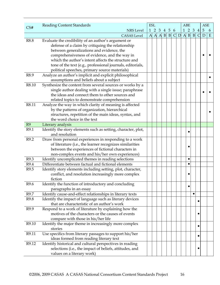|                | <b>Reading Content Standards</b>                                               | <b>ESL</b> |  |                 |              |  | ABE                       |                | <b>ASE</b>     |   |
|----------------|--------------------------------------------------------------------------------|------------|--|-----------------|--------------|--|---------------------------|----------------|----------------|---|
| CS#            | <b>NRS</b> Level                                                               |            |  | 1 2 3 4 5 6     |              |  | $1\quad2\quad3$           | $\overline{4}$ | $\overline{5}$ | 6 |
|                | <b>CASAS</b> Level                                                             |            |  | $A$ $A$ $B$ $B$ | $\mathsf{C}$ |  | $D \land B \mid B \mid C$ |                | D              | E |
| R8.8           | Evaluate the credibility of an author's argument or                            |            |  |                 |              |  |                           |                |                |   |
|                | defense of a claim by critiquing the relationship                              |            |  |                 |              |  |                           |                |                |   |
|                | between generalizations and evidence, the                                      |            |  |                 |              |  |                           |                |                |   |
|                | comprehensiveness of evidence, and the way in                                  |            |  |                 |              |  |                           |                |                |   |
|                | which the author's intent affects the structure and                            |            |  |                 |              |  |                           |                |                |   |
|                | tone of the text (e.g., professional journals, editorials,                     |            |  |                 |              |  |                           |                |                |   |
|                | political speeches, primary source materials)                                  |            |  |                 |              |  |                           |                |                |   |
| R8.9           | Analyze an author's implicit and explicit philosophical                        |            |  |                 |              |  |                           |                |                |   |
|                | assumptions and beliefs about a subject                                        |            |  |                 |              |  |                           |                |                |   |
| R8.10          | Synthesize the content from several sources or works by a                      |            |  |                 |              |  |                           |                |                |   |
|                | single author dealing with a single issue; paraphrase                          |            |  |                 |              |  |                           |                |                |   |
|                | the ideas and connect them to other sources and                                |            |  |                 |              |  |                           |                |                |   |
|                | related topics to demonstrate comprehension                                    |            |  |                 |              |  |                           |                |                |   |
| R8.11          | Analyze the way in which clarity of meaning is affected                        |            |  |                 |              |  |                           |                |                |   |
|                | by the patterns of organization, hierarchical                                  |            |  |                 |              |  |                           |                |                |   |
|                | structures, repetition of the main ideas, syntax, and                          |            |  |                 |              |  |                           |                |                |   |
|                | the word choice in the text                                                    |            |  |                 |              |  |                           |                |                |   |
| R <sub>9</sub> | Literary analysis                                                              |            |  |                 |              |  |                           |                |                |   |
| R9.1           | Identify the story elements such as setting, character, plot,                  |            |  |                 |              |  |                           |                |                |   |
|                | and resolution                                                                 |            |  |                 |              |  |                           |                |                |   |
| R9.2           | Draw from personal experiences in responding to a work                         |            |  |                 |              |  |                           |                |                |   |
|                | of literature (i.e., the learner recognizes similarities                       |            |  |                 |              |  |                           |                |                |   |
|                | between the experiences of fictional characters in                             |            |  |                 |              |  |                           |                |                |   |
|                | non-complex events and his/her own experiences)                                |            |  |                 |              |  |                           |                |                |   |
| R9.3           | Identify uncomplicated themes in reading selections                            |            |  |                 |              |  | $\bullet$                 |                |                |   |
| R9.4           | Differentiate between factual and fictional elements                           |            |  |                 |              |  | $\bullet$                 |                |                |   |
| R9.5           | Identify story elements including setting, plot, character,                    |            |  |                 |              |  |                           |                |                |   |
|                | conflict, and resolution increasingly more complex                             |            |  |                 |              |  |                           |                |                |   |
|                | fiction                                                                        |            |  |                 |              |  |                           |                |                |   |
| R9.6           | Identify the function of introductory and concluding<br>paragraphs in an essay |            |  |                 |              |  |                           |                |                |   |
| R9.7           | Identify cause-and-effect relationships in literary texts                      |            |  |                 |              |  |                           |                |                |   |
| R9.8           | Identify the impact of language such as literary devices                       |            |  |                 |              |  |                           |                |                |   |
|                | that are characteristic of an author's work                                    |            |  |                 |              |  |                           |                |                |   |
| R9.9           | Respond to a work of literature by explaining how the                          |            |  |                 |              |  |                           |                |                |   |
|                | motives of the characters or the causes of events                              |            |  |                 |              |  |                           |                |                |   |
|                | compare with those in his/her life                                             |            |  |                 |              |  |                           |                |                |   |
| R9.10          | Identify the major theme in increasingly more complex                          |            |  |                 |              |  |                           |                |                |   |
|                | stories                                                                        |            |  |                 |              |  |                           |                |                |   |
| R9.11          | Use specifics from literary passages to support his/her                        |            |  |                 |              |  |                           |                |                |   |
|                | ideas formed from reading literary text                                        |            |  |                 |              |  |                           |                |                |   |
| R9.12          | Identify historical and cultural perspectives in reading                       |            |  |                 |              |  |                           |                |                |   |
|                | selections (i.e., the impact of beliefs, attitudes, and                        |            |  |                 |              |  |                           |                |                |   |
|                | values on a literary work)                                                     |            |  |                 |              |  |                           |                |                |   |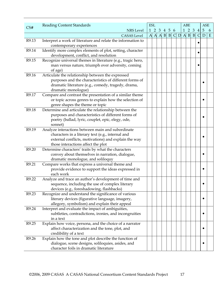|       | <b>Reading Content Standards</b>                                                                         | <b>ESL</b> |       |                   |  |           | <b>ABE</b>      |                 |                 | <b>ASE</b>     |   |
|-------|----------------------------------------------------------------------------------------------------------|------------|-------|-------------------|--|-----------|-----------------|-----------------|-----------------|----------------|---|
| CS#   | <b>NRS</b> Level                                                                                         |            |       | 1 2 3 4 5 6       |  |           | $1\quad2\quad3$ |                 | $\vert 4 \vert$ | $\overline{5}$ | 6 |
|       | <b>CASAS</b> Level                                                                                       |            | A A A | $B \vert B \vert$ |  | $C$ D A B |                 | $\vert B \vert$ | $\mathsf{C}$    | D              | E |
| R9.13 | Interpret a work of literature and relate the information to                                             |            |       |                   |  |           |                 |                 |                 |                |   |
|       | contemporary experiences                                                                                 |            |       |                   |  |           |                 |                 |                 |                |   |
| R9.14 | Identify more complex elements of plot, setting, character                                               |            |       |                   |  |           |                 |                 |                 |                |   |
|       | development, conflict, and resolution                                                                    |            |       |                   |  |           |                 |                 |                 |                |   |
| R9.15 | Recognize universal themes in literature (e.g., tragic hero,                                             |            |       |                   |  |           |                 |                 |                 |                |   |
|       | man versus nature, triumph over adversity, coming                                                        |            |       |                   |  |           |                 |                 |                 |                |   |
|       | of age)                                                                                                  |            |       |                   |  |           |                 |                 |                 |                |   |
| R9.16 | Articulate the relationship between the expressed                                                        |            |       |                   |  |           |                 |                 |                 |                |   |
|       | purposes and the characteristics of different forms of                                                   |            |       |                   |  |           |                 |                 |                 |                |   |
|       | dramatic literature (e.g., comedy, tragedy, drama,                                                       |            |       |                   |  |           |                 |                 |                 |                |   |
|       | dramatic monologue)                                                                                      |            |       |                   |  |           |                 |                 |                 |                |   |
| R9.17 | Compare and contrast the presentation of a similar theme                                                 |            |       |                   |  |           |                 |                 |                 |                |   |
|       | or topic across genres to explain how the selection of                                                   |            |       |                   |  |           |                 |                 |                 |                |   |
|       | genre shapes the theme or topic                                                                          |            |       |                   |  |           |                 |                 |                 |                |   |
| R9.18 | Determine and articulate the relationship between the                                                    |            |       |                   |  |           |                 |                 |                 |                |   |
|       | purposes and characteristics of different forms of                                                       |            |       |                   |  |           |                 |                 |                 |                |   |
|       | poetry (ballad, lyric, couplet, epic, elegy, ode,                                                        |            |       |                   |  |           |                 |                 |                 |                |   |
|       | sonnet)                                                                                                  |            |       |                   |  |           |                 |                 |                 |                |   |
| R9.19 | Analyze interactions between main and subordinate                                                        |            |       |                   |  |           |                 |                 |                 |                |   |
|       | characters in a literary text (e.g., internal and                                                        |            |       |                   |  |           |                 |                 |                 |                |   |
|       | external conflicts, motivations) and explain the way                                                     |            |       |                   |  |           |                 |                 |                 |                |   |
|       | those interactions affect the plot                                                                       |            |       |                   |  |           |                 |                 |                 |                |   |
| R9.20 | Determine characters' traits by what the characters                                                      |            |       |                   |  |           |                 |                 |                 |                |   |
|       | convey about themselves in narration, dialogue,                                                          |            |       |                   |  |           |                 |                 |                 |                |   |
|       | dramatic monologue, and soliloquy                                                                        |            |       |                   |  |           |                 |                 |                 |                |   |
| R9.21 | Compare works that express a universal theme and                                                         |            |       |                   |  |           |                 |                 |                 |                |   |
|       | provide evidence to support the ideas expressed in                                                       |            |       |                   |  |           |                 |                 |                 |                |   |
| R9.22 | each work                                                                                                |            |       |                   |  |           |                 |                 |                 |                |   |
|       | Analyze and trace an author's development of time and<br>sequence, including the use of complex literary |            |       |                   |  |           |                 |                 |                 |                |   |
|       | devices (e.g., foreshadowing, flashbacks)                                                                |            |       |                   |  |           |                 |                 |                 |                |   |
| R9.23 | Recognize and understand the significance of various                                                     |            |       |                   |  |           |                 |                 |                 |                |   |
|       | literary devices (figurative language, imagery,                                                          |            |       |                   |  |           |                 |                 |                 | $\bullet$      |   |
|       | allegory, symbolism) and explain their appeal                                                            |            |       |                   |  |           |                 |                 |                 |                |   |
| R9.24 | Interpret and evaluate the impact of ambiguities,                                                        |            |       |                   |  |           |                 |                 |                 |                |   |
|       | subtleties, contradictions, ironies, and incongruities                                                   |            |       |                   |  |           |                 |                 |                 |                |   |
|       | in a text                                                                                                |            |       |                   |  |           |                 |                 |                 |                |   |
| R9.25 | Explain how voice, persona, and the choice of a narrator                                                 |            |       |                   |  |           |                 |                 |                 |                |   |
|       | affect characterization and the tone, plot, and                                                          |            |       |                   |  |           |                 |                 |                 |                |   |
|       | credibility of a text                                                                                    |            |       |                   |  |           |                 |                 |                 |                |   |
| R9.26 | Explain how the tone and plot describe the function of                                                   |            |       |                   |  |           |                 |                 |                 |                |   |
|       | dialogue, scene designs, soliloquies, asides, and                                                        |            |       |                   |  |           |                 |                 |                 |                |   |
|       | character foils in dramatic literature                                                                   |            |       |                   |  |           |                 |                 |                 |                |   |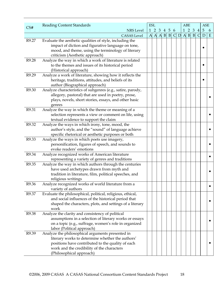|       | <b>Reading Content Standards</b>                                                                   | <b>ESL</b>   |  |                   |              |                          | ABE             |                | <b>ASE</b>      |             |
|-------|----------------------------------------------------------------------------------------------------|--------------|--|-------------------|--------------|--------------------------|-----------------|----------------|-----------------|-------------|
| CS#   | <b>NRS</b> Level                                                                                   |              |  | 1 2 3 4 5 6       |              |                          | $1\quad2\quad3$ | $\overline{4}$ | $5\phantom{.0}$ | 6           |
|       | <b>CASAS</b> Level                                                                                 | $\mathbf{A}$ |  | $A \cap B \mid B$ | $\mathsf{C}$ | $D \cap A \mid B \mid B$ |                 | $\mathsf{C}$   | D               | $\mathbf E$ |
| R9.27 | Evaluate the aesthetic qualities of style, including the                                           |              |  |                   |              |                          |                 |                |                 |             |
|       | impact of diction and figurative language on tone,                                                 |              |  |                   |              |                          |                 |                |                 |             |
|       | mood, and theme, using the terminology of literary                                                 |              |  |                   |              |                          |                 |                |                 |             |
|       | criticism (Aesthetic approach)                                                                     |              |  |                   |              |                          |                 |                |                 |             |
| R9.28 | Analyze the way in which a work of literature is related                                           |              |  |                   |              |                          |                 |                |                 |             |
|       | to the themes and issues of its historical period                                                  |              |  |                   |              |                          |                 |                |                 |             |
|       | (Historical approach)                                                                              |              |  |                   |              |                          |                 |                |                 |             |
| R9.29 | Analyze a work of literature, showing how it reflects the                                          |              |  |                   |              |                          |                 |                |                 |             |
|       | heritage, traditions, attitudes, and beliefs of its                                                |              |  |                   |              |                          |                 |                |                 |             |
|       | author (Biographical approach)                                                                     |              |  |                   |              |                          |                 |                |                 |             |
| R9.30 | Analyze characteristics of subgenres (e.g., satire, parody,                                        |              |  |                   |              |                          |                 |                |                 |             |
|       | allegory, pastoral) that are used in poetry, prose,                                                |              |  |                   |              |                          |                 |                |                 |             |
|       | plays, novels, short stories, essays, and other basic                                              |              |  |                   |              |                          |                 |                |                 |             |
|       | genres                                                                                             |              |  |                   |              |                          |                 |                |                 |             |
| R9.31 | Analyze the way in which the theme or meaning of a                                                 |              |  |                   |              |                          |                 |                |                 |             |
|       | selection represents a view or comment on life, using                                              |              |  |                   |              |                          |                 |                |                 |             |
|       | textual evidence to support the claim                                                              |              |  |                   |              |                          |                 |                |                 |             |
| R9.32 | Analyze the ways in which irony, tone, mood, the                                                   |              |  |                   |              |                          |                 |                |                 |             |
|       | author's style, and the "sound" of language achieve                                                |              |  |                   |              |                          |                 |                |                 |             |
|       | specific rhetorical or aesthetic purposes or both                                                  |              |  |                   |              |                          |                 |                |                 |             |
| R9.33 | Analyze the ways in which poets use imagery,                                                       |              |  |                   |              |                          |                 |                |                 |             |
|       | personification, figures of speech, and sounds to                                                  |              |  |                   |              |                          |                 |                |                 |             |
|       | evoke readers' emotions                                                                            |              |  |                   |              |                          |                 |                |                 |             |
| R9.34 | Analyze recognized works of American literature                                                    |              |  |                   |              |                          |                 |                |                 |             |
| R9.35 | representing a variety of genres and traditions                                                    |              |  |                   |              |                          |                 |                |                 |             |
|       | Analyze the way in which authors through the centuries<br>have used archetypes drawn from myth and |              |  |                   |              |                          |                 |                |                 |             |
|       | tradition in literature, film, political speeches, and                                             |              |  |                   |              |                          |                 |                |                 |             |
|       | religious writings                                                                                 |              |  |                   |              |                          |                 |                |                 |             |
| R9.36 | Analyze recognized works of world literature from a                                                |              |  |                   |              |                          |                 |                |                 |             |
|       | variety of authors                                                                                 |              |  |                   |              |                          |                 |                |                 |             |
| R9.37 | Evaluate the philosophical, political, religious, ethical,                                         |              |  |                   |              |                          |                 |                |                 |             |
|       | and social influences of the historical period that                                                |              |  |                   |              |                          |                 |                |                 |             |
|       | shaped the characters, plots, and settings of a literary                                           |              |  |                   |              |                          |                 |                |                 |             |
|       | work                                                                                               |              |  |                   |              |                          |                 |                |                 |             |
| R9.38 | Analyze the clarity and consistency of political                                                   |              |  |                   |              |                          |                 |                |                 |             |
|       | assumptions in a selection of literary works or essays                                             |              |  |                   |              |                          |                 |                |                 |             |
|       | on a topic (e.g., suffrage, women's role in organized                                              |              |  |                   |              |                          |                 |                |                 |             |
|       | labor (Political approach)                                                                         |              |  |                   |              |                          |                 |                |                 |             |
| R9.39 | Analyze the philosophical arguments presented in                                                   |              |  |                   |              |                          |                 |                |                 |             |
|       | literary works to determine whether the authors'                                                   |              |  |                   |              |                          |                 |                |                 |             |
|       | positions have contributed to the quality of each                                                  |              |  |                   |              |                          |                 |                |                 |             |
|       | work and the credibility of the characters                                                         |              |  |                   |              |                          |                 |                |                 |             |
|       | (Philosophical approach)                                                                           |              |  |                   |              |                          |                 |                |                 |             |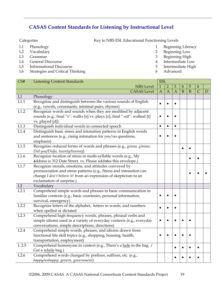## **CASAS Content Standards for Listening by Instructional Level**

- 
- 
- 
- L4 General Discourse 4 Intermediate Low
- L5 Informational Discourse 6 10 and 200 and 200 and 200 and 200 and 200 and 200 and 200 and 200 and 200 and 200 and 200 and 200 and 200 and 200 and 200 and 200 and 200 and 200 and 200 and 200 and 200 and 200 and 200 and 20
- L6 Strategies and Critical Thinking 6 Advanced

Categories **Key to NRS ESL Educational Functioning Levels** 

- L1 Phonology 1 Beginning Literacy
- L2 Vocabulary 2 Beginning Low
- L3 Grammar 3 Beginning High
	-
	-
	-

| CS#        | <b>Listening Content Standards</b>                                        | <b>ESL</b><br>$\mathbf{1}$<br>$\overline{2}$<br>3<br>$\overline{A}$<br>$\overline{A}$ |           |                |   |           |                |   |
|------------|---------------------------------------------------------------------------|---------------------------------------------------------------------------------------|-----------|----------------|---|-----------|----------------|---|
|            | <b>NRS Level</b>                                                          |                                                                                       |           |                | 4 | 5         | 6              |   |
|            | <b>CASAS</b> Level                                                        |                                                                                       |           | $\overline{A}$ | B | B         | $\overline{C}$ | D |
| L1         | Phonology                                                                 |                                                                                       |           |                |   |           |                |   |
| L1.1       | Recognize and distinguish between the various sounds of English           | $\bullet$                                                                             |           |                |   |           |                |   |
|            | (e.g., vowels, consonants, minimal pairs, rhymes)                         |                                                                                       |           |                |   |           |                |   |
| L1.2       | Recognize words and sounds when they are modified by adjacent             |                                                                                       |           |                |   |           |                |   |
|            | sounds (e.g., final "s": walks [s] vs. plays [z]; final "-ed": walked [t] | $\bullet$                                                                             |           |                |   |           |                |   |
|            | vs. played [d])                                                           |                                                                                       |           |                |   |           |                |   |
| L1.3       | Distinguish individual words in connected speech                          | $\bullet$                                                                             | $\bullet$ | $\bullet$      |   |           |                |   |
| L1.4       | Distinguish basic stress and intonation patterns in English words         |                                                                                       |           |                |   |           |                |   |
|            | and sentences (e.g., rising intonation for yes/no questions,              |                                                                                       |           |                |   |           |                |   |
|            | emphasis)                                                                 |                                                                                       |           |                |   |           |                |   |
| L1.5       | Recognize reduced forms of words and phrases (e.g., gonna, gimme;         |                                                                                       |           |                |   |           |                |   |
|            | Did you/Didja, twenty/twenny)                                             |                                                                                       |           |                |   |           |                |   |
| L1.6       | Recognize location of stress in multi-syllable words (e.g., My            |                                                                                       |           |                |   | $\bullet$ |                |   |
|            | áddress is 312 Date Street. vs. Please addréss this envelope.)            |                                                                                       |           |                |   |           |                |   |
| $\rm L1.7$ | Recognize moods, emotions, and attitudes conveyed by                      |                                                                                       |           |                |   |           |                |   |
|            | pronunciation and stress patterns (e.g., Stress and intonation can        |                                                                                       |           |                |   |           |                |   |
|            | change I don't believe it! from an expression of skepticism to an         |                                                                                       |           |                |   |           |                |   |
|            | exclamation of surprise.)                                                 |                                                                                       |           |                |   |           |                |   |
| L2         | Vocabulary                                                                |                                                                                       |           |                |   |           |                |   |
| L2.1       | Comprehend simple words and phrases in basic communication in             |                                                                                       |           |                |   |           |                |   |
|            | familiar contexts (e.g., basic courtesies, personal information,          |                                                                                       |           |                |   |           |                |   |
|            | survival, emergency)                                                      |                                                                                       |           |                |   |           |                |   |
| L2.2       | Recognize letters of the alphabet, letters in words, and numbers          | $\bullet$                                                                             | $\bullet$ |                |   |           |                |   |
|            | when spelled or dictated                                                  |                                                                                       |           |                |   |           |                |   |
| L2.3       | Comprehend high frequency words, phrases, phrasal verbs and               |                                                                                       |           |                |   |           |                |   |
|            | simple idioms used in a variety of everyday contexts (e.g., everyday      | $\bullet$                                                                             |           |                |   |           |                |   |
|            | conversations, simple descriptions, directions)                           |                                                                                       |           |                |   |           |                |   |
| L2.4       | Comprehend simple words, phrases, and idioms drawn from                   |                                                                                       |           |                |   |           |                |   |
|            | functional life skill topics (e.g., shopping, housing, health,            | $\bullet$                                                                             |           |                |   |           |                |   |
|            | transportation, employment)                                               |                                                                                       |           |                |   |           |                |   |
| $L$ 2.5    | Comprehend homonyms in context (e.g., There's a hole in the bag. /        |                                                                                       |           |                |   |           |                |   |
|            | Get a whole bag.)                                                         |                                                                                       |           |                |   |           |                |   |
| L2.6       | Comprehend words changed by prefixes, suffixes, etc. (e.g.,               |                                                                                       |           |                |   |           |                |   |
|            | happy/unhappy; govern, government)                                        |                                                                                       |           |                |   |           |                |   |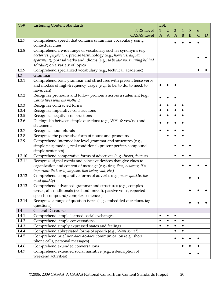| CS#            | <b>Listening Content Standards</b>                                                                                            | <b>ESL</b>   |                |                |                |              |                |              |
|----------------|-------------------------------------------------------------------------------------------------------------------------------|--------------|----------------|----------------|----------------|--------------|----------------|--------------|
|                | <b>NRS</b> Level                                                                                                              | $\mathbf{1}$ | $\overline{2}$ | $\mathfrak{Z}$ | $\overline{4}$ | 5            | 6              |              |
|                | <b>CASAS</b> Level                                                                                                            | $\mathbf{A}$ | $\mathbf{A}$   | $\overline{A}$ | B              | $\mathbf{B}$ | $\overline{C}$ | $\mathbf{D}$ |
| L2.7           | Comprehend speech that contains unfamiliar vocabulary using                                                                   |              |                | $\bullet$      | $\bullet$      |              |                |              |
|                | contextual clues                                                                                                              |              |                |                |                |              |                |              |
| L2.8           | Comprehend a wide range of vocabulary such as synonyms (e.g.,                                                                 |              |                |                |                |              |                |              |
|                | doctor vs. physician), precise terminology (e.g., home vs. duplex                                                             |              |                |                |                |              |                |              |
|                | apartment), phrasal verbs and idioms (e.g., to be late vs. running behind                                                     |              |                |                |                |              |                |              |
|                | schedule) on a variety of topics                                                                                              |              |                |                |                |              |                |              |
| L2.9           | Comprehend specialized vocabulary (e.g., technical, academic)                                                                 |              |                |                |                |              |                |              |
| L <sub>3</sub> | Grammar                                                                                                                       |              |                |                |                |              |                |              |
| L3.1           | Comprehend basic grammar and structures with present tense verbs                                                              |              |                |                |                |              |                |              |
|                | and modals of high-frequency usage (e.g., to be, to do, to need, to                                                           |              |                |                |                |              |                |              |
|                | have, can)                                                                                                                    |              |                |                |                |              |                |              |
| L3.2           | Recognize pronouns and follow pronouns across a statement (e.g.,                                                              |              |                |                |                |              |                |              |
|                | Carlos lives with his mother.)                                                                                                |              |                |                |                |              |                |              |
| L3.3           | Recognize contracted forms                                                                                                    | $\bullet$    | $\bullet$      | $\bullet$      | $\bullet$      |              |                |              |
| L3.4           | Recognize imperative constructions                                                                                            |              | $\bullet$      |                | $\bullet$      |              |                |              |
| L3.5           | Recognize negative constructions                                                                                              |              | $\bullet$      | $\bullet$      | $\bullet$      |              |                |              |
| L3.6           | Distinguish between simple questions (e.g., WH- & yes/no) and                                                                 |              |                |                |                |              |                |              |
|                | statements                                                                                                                    |              |                |                |                |              |                |              |
| L3.7           | Recognize noun plurals                                                                                                        | $\bullet$    | $\bullet$      | $\bullet$      | $\bullet$      |              |                |              |
| L3.8           | Recognize the possessive form of nouns and pronouns                                                                           |              | $\bullet$      | $\bullet$      | $\bullet$      |              |                |              |
| L3.9           | Comprehend intermediate level grammar and structures (e.g.,                                                                   |              |                |                |                |              |                |              |
|                | simple past, modals, real conditional, present perfect, compound                                                              |              |                |                |                |              |                |              |
|                | simple sentences)                                                                                                             |              |                | $\bullet$      | $\bullet$      |              |                |              |
| L3.10          | Comprehend comparative forms of adjectives (e.g., faster, fastest)                                                            |              |                |                |                |              |                |              |
| L3.11          | Recognize signal words and cohesive devices that give clues to                                                                |              |                |                | $\bullet$      |              |                |              |
|                | organization and content of message (e.g., first, then, however, it's<br>important that, well, anyway, that being said, etc.) |              |                |                |                |              |                |              |
| L3.12          | Comprehend comparative forms of adverbs (e.g., more quickly, the                                                              |              |                |                |                |              |                |              |
|                | most quickly)                                                                                                                 |              |                |                |                |              |                |              |
| L3.13          | Comprehend advanced grammar and structures (e.g., complex                                                                     |              |                |                |                |              |                |              |
|                | tenses, all conditionals (real and unreal), passive voice, reported                                                           |              |                |                |                |              |                |              |
|                | speech, compound/complex sentences)                                                                                           |              |                |                |                |              |                |              |
| L3.14          | Recognize a range of question types (e.g., embedded questions, tag                                                            |              |                |                |                |              |                |              |
|                | questions)                                                                                                                    |              |                |                |                |              |                |              |
| L4             | <b>General Discourse</b>                                                                                                      |              |                |                |                |              |                |              |
| L4.1           | Comprehend simple learned social exchanges                                                                                    | $\bullet$    | $\bullet$      | $\bullet$      |                |              |                |              |
| L4.2           | Comprehend simple conversations                                                                                               | $\bullet$    | $\bullet$      |                |                |              |                |              |
| L4.3           | Comprehend simply expressed states and feelings                                                                               | $\bullet$    | $\bullet$      |                |                |              |                |              |
| L4.4           | Comprehend abbreviated forms of speech (e.g., Want some?)                                                                     |              |                | $\bullet$      | $\bullet$      |              |                |              |
| L4.5           | Comprehend brief non-face-to-face communication (e.g., short                                                                  |              |                |                |                |              |                |              |
|                | phone calls, personal messages)                                                                                               |              |                |                |                |              |                |              |
| L4.6           | Comprehend extended conversations                                                                                             |              |                |                | $\bullet$      | $\bullet$    | $\bullet$      |              |
| L4.7           | Comprehend extended social narrative (e.g., a description of                                                                  |              |                |                |                |              |                |              |
|                | weekend activities)                                                                                                           |              |                |                |                |              |                |              |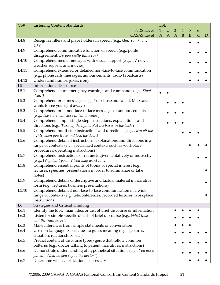| CS#               | <b>Listening Content Standards</b>                                                                                | <b>ESL</b>   |              |                |              |              |                |   |
|-------------------|-------------------------------------------------------------------------------------------------------------------|--------------|--------------|----------------|--------------|--------------|----------------|---|
|                   | <b>NRS</b> Level                                                                                                  | $\mathbf{1}$ | 2            | $\mathfrak{Z}$ | 4            | 5            | 6              |   |
|                   | <b>CASAS</b> Level                                                                                                | $\mathbf{A}$ | $\mathbf{A}$ | $\overline{A}$ | $\mathbf{B}$ | $\mathbf{B}$ | $\overline{C}$ | D |
| L4.8              | Recognize fillers and place holders in speech (e.g., Um, You know,                                                |              |              |                |              |              |                |   |
|                   | Like)                                                                                                             |              |              |                |              |              | $\bullet$      |   |
| L4.9              | Comprehend communicative function of speech (e.g., polite                                                         |              |              |                |              |              |                |   |
|                   | disagreement: Do you really think so?)                                                                            |              |              |                |              |              |                |   |
| L4.10             | Comprehend media messages with visual support (e.g., TV news,                                                     |              |              |                |              |              |                |   |
|                   | weather reports, and movies)                                                                                      |              |              |                |              |              |                |   |
| L <sub>4.11</sub> | Comprehend extended or detailed non-face-to-face communication                                                    |              |              |                |              |              |                |   |
|                   | (e.g., phone calls, messages, announcements, radio broadcasts)                                                    |              |              |                |              |              |                |   |
| L <sub>4.12</sub> | Understand humor, jokes, irony                                                                                    |              |              |                |              |              |                |   |
| L5                | <b>Informational Discourse</b>                                                                                    |              |              |                |              |              |                |   |
| L5.1              | Comprehend short emergency warnings and commands (e.g., Stop!                                                     |              |              |                |              |              |                |   |
|                   | Wait!)                                                                                                            |              |              |                |              |              |                |   |
| L5.2              | Comprehend brief messages (e.g., Your husband called. Ms. Garcia                                                  |              |              |                |              |              |                |   |
|                   | wants to see you right away.)                                                                                     |              |              |                |              |              |                |   |
| L5.3              | Comprehend brief non-face-to-face messages or announcements                                                       |              |              |                |              |              |                |   |
|                   | (e.g., The store will close in ten minutes.)                                                                      |              |              |                |              |              |                |   |
| L5.4              | Comprehend simple single-step instructions, explanations, and                                                     |              |              |                |              |              |                |   |
|                   | directions (e.g., Turn off the lights. Put the boxes in the back.)                                                |              |              |                |              |              |                |   |
| L5.5              | Comprehend multi-step instructions and directions (e.g., Turn off the                                             |              |              |                | $\bullet$    |              | $\bullet$      |   |
|                   | lights when you leave and lock the door.)                                                                         |              |              |                |              |              |                |   |
| L5.6              | Comprehend detailed instructions, explanations and directions in a                                                |              |              |                |              |              |                |   |
|                   | range of contexts (e.g., specialized contexts such as workplace                                                   |              |              |                |              |              |                |   |
|                   | procedures, operating instructions)                                                                               |              |              |                |              |              |                |   |
| L5.7              | Comprehend instructions or requests given tentatively or indirectly                                               |              |              |                |              |              |                |   |
|                   | (e.g., Why don't you ? You may want to)                                                                           |              |              |                |              |              |                |   |
| L <sub>5.8</sub>  | Comprehend essential points of topics of special interest (e.g.,                                                  |              |              |                |              |              |                |   |
|                   | lectures, speeches, presentations in order to summarize or take                                                   |              |              |                |              |              |                |   |
|                   | notes)                                                                                                            |              |              |                |              |              |                |   |
| L5.9              | Comprehend details of descriptive and factual material in narrative                                               |              |              |                |              |              |                |   |
|                   | form (e.g., lectures, business presentations)                                                                     |              |              |                |              |              |                |   |
| L <sub>5.10</sub> | Comprehend detailed non-face-to-face communication in a wide                                                      |              |              |                |              |              |                |   |
|                   | range of contexts (e.g., teleconferences, recorded lectures, workplace                                            |              |              |                |              |              |                |   |
|                   | instructions)                                                                                                     |              |              |                |              |              |                |   |
| L <sub>6</sub>    | <b>Strategies and Critical Thinking</b>                                                                           |              |              |                |              |              |                |   |
| L6.1              | Identify the topic, main idea, or gist of brief discourse or information                                          |              |              | $\bullet$      | $\bullet$    | $\bullet$    | $\bullet$      |   |
| L6.2              | Listen for simple specific details of brief discourse (e.g., What time                                            |              |              |                |              |              |                |   |
| L6.3              | will the train leave?)                                                                                            |              |              | $\bullet$      | $\bullet$    |              |                |   |
|                   | Make inferences from simple statements or conversation                                                            |              |              |                |              |              |                |   |
| L6.4              | Use non-language-based clues to guess meaning (e.g., gestures,                                                    |              |              |                |              |              |                |   |
|                   | situation, relationships, etc.)                                                                                   |              |              |                |              |              |                |   |
| L6.5              | Predict content of discourse types/genre that follow common                                                       |              |              | $\bullet$      |              |              | $\bullet$      |   |
| L6.6              | patterns (e.g., doctor talking to patient, narratives, instructions)                                              |              |              |                |              |              |                |   |
|                   | Demonstrate understanding of hypothetical situations (e.g., You are a<br>patient. What do you say to the doctor?) |              |              |                |              |              |                |   |
| L6.7              | Determine when clarification is necessary                                                                         |              |              |                |              |              |                |   |
|                   |                                                                                                                   |              |              |                |              |              |                |   |